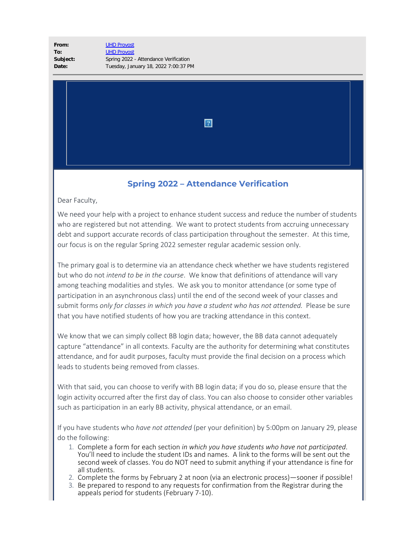**[UHD Provost](mailto:/O=EXCHANGELABS/OU=EXCHANGE ADMINISTRATIVE GROUP (FYDIBOHF23SPDLT)/CN=RECIPIENTS/CN=CA4FD1BEF70A42B9B8967FBECB63B41B-PROVOST) [UHD Provost](mailto:provost@uhd.edu)** Spring 2022 - Attendance Verification **Date:** Tuesday, January 18, 2022 7:00:37 PM

 $\overline{?}$ 

## **Spring 2022 – Attendance Verification**

Dear Faculty,

We need your help with a project to enhance student success and reduce the number of students who are registered but not attending. We want to protect students from accruing unnecessary debt and support accurate records of class participation throughout the semester. At this time, our focus is on the regular Spring 2022 semester regular academic session only.

The primary goal is to determine via an attendance check whether we have students registered but who do not *intend to be in the course*. We know that definitions of attendance will vary among teaching modalities and styles. We ask you to monitor attendance (or some type of participation in an asynchronous class) until the end of the second week of your classes and submit forms *only for classes in which you have a student who has not attended.* Please be sure that you have notified students of how you are tracking attendance in this context.

We know that we can simply collect BB login data; however, the BB data cannot adequately capture "attendance" in all contexts. Faculty are the authority for determining what constitutes attendance, and for audit purposes, faculty must provide the final decision on a process which leads to students being removed from classes.

With that said, you can choose to verify with BB login data; if you do so, please ensure that the login activity occurred after the first day of class. You can also choose to consider other variables such as participation in an early BB activity, physical attendance, or an email.

If you have students who *have not attended* (per your definition) by 5:00pm on January 29, please do the following:

- 1. Complete a form for each section *in which you have students who have not participated*. You'll need to include the student IDs and names. A link to the forms will be sent out the second week of classes. You do NOT need to submit anything if your attendance is fine for all students.
- 2. Complete the forms by February 2 at noon (via an electronic process)—sooner if possible!
- 3. Be prepared to respond to any requests for confirmation from the Registrar during the appeals period for students (February 7-10).